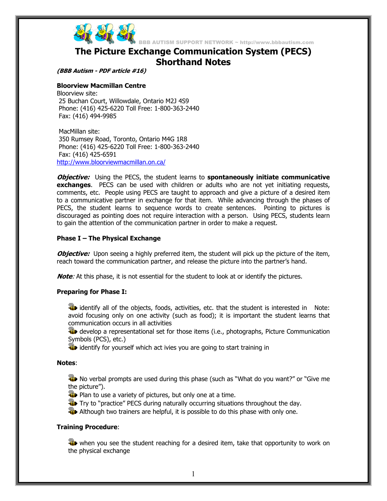

BBB AUTISM SUPPORT NETWORK ~ http://www.bbbautism.com

# **The Picture Exchange Communication System (PECS) Shorthand Notes**

**(BBB Autism - PDF article #16)** 

## **Bloorview Macmillan Centre**

Bloorview site: 25 Buchan Court, Willowdale, Ontario M2J 4S9 Phone: (416) 425-6220 Toll Free: 1-800-363-2440 Fax: (416) 494-9985

 MacMillan site: 350 Rumsey Road, Toronto, Ontario M4G 1R8 Phone: (416) 425-6220 Toll Free: 1-800-363-2440 Fax: (416) 425-6591 http://www.bloorviewmacmillan.on.ca/

**Objective:** Using the PECS, the student learns to **spontaneously initiate communicative exchanges**. PECS can be used with children or adults who are not yet initiating requests, comments, etc. People using PECS are taught to approach and give a picture of a desired item to a communicative partner in exchange for that item. While advancing through the phases of PECS, the student learns to sequence words to create sentences. Pointing to pictures is discouraged as pointing does not require interaction with a person. Using PECS, students learn to gain the attention of the communication partner in order to make a request.

## **Phase I – The Physical Exchange**

**Objective:** Upon seeing a highly preferred item, the student will pick up the picture of the item, reach toward the communication partner, and release the picture into the partner's hand.

**Note**: At this phase, it is not essential for the student to look at or identify the pictures.

## **Preparing for Phase I:**

**in** identify all of the objects, foods, activities, etc. that the student is interested in Note: avoid focusing only on one activity (such as food); it is important the student learns that communication occurs in all activities

**di** develop a representational set for those items (i.e., photographs, Picture Communication Symbols (PCS), etc.)

in identify for yourself which act ivies you are going to start training in

## **Notes**:

**We** No verbal prompts are used during this phase (such as "What do you want?" or "Give me the picture").

**Plan to use a variety of pictures, but only one at a time.** 

Try to "practice" PECS during naturally occurring situations throughout the day.

**Although two trainers are helpful, it is possible to do this phase with only one.** 

## **Training Procedure**:

We when you see the student reaching for a desired item, take that opportunity to work on the physical exchange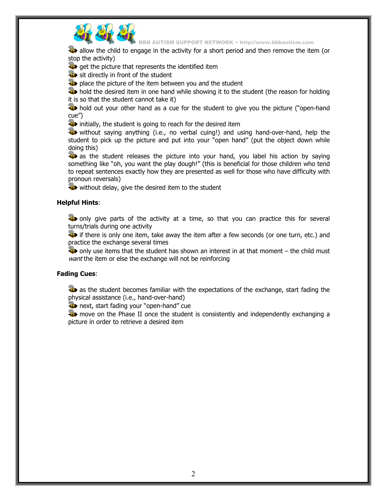

BBB AUTISM SUPPORT NETWORK ~ http://www.bbbautism.com

**All** allow the child to engage in the activity for a short period and then remove the item (or stop the activity)

get the picture that represents the identified item

sit directly in front of the student

**P** place the picture of the item between you and the student

**H** hold the desired item in one hand while showing it to the student (the reason for holding it is so that the student cannot take it)

**H** hold out your other hand as a cue for the student to give you the picture ("open-hand cue")

initially, the student is going to reach for the desired item

 without saying anything (i.e., no verbal cuing!) and using hand-over-hand, help the student to pick up the picture and put into your "open hand" (put the object down while doing this)

**AP** as the student releases the picture into your hand, you label his action by saying something like "oh, you want the play dough!" (this is beneficial for those children who tend to repeat sentences exactly how they are presented as well for those who have difficulty with pronoun reversals)

**W** without delay, give the desired item to the student

## **Helpful Hints**:

**ID** only give parts of the activity at a time, so that you can practice this for several turns/trials during one activity

**if** if there is only one item, take away the item after a few seconds (or one turn, etc.) and practice the exchange several times

 $\ddot{a}$  only use items that the student has shown an interest in at that moment – the child must want the item or else the exchange will not be reinforcing

## **Fading Cues**:

**A** as the student becomes familiar with the expectations of the exchange, start fading the physical assistance (i.e., hand-over-hand)

**n** next, start fading your "open-hand" cue

**W** move on the Phase II once the student is consistently and independently exchanging a picture in order to retrieve a desired item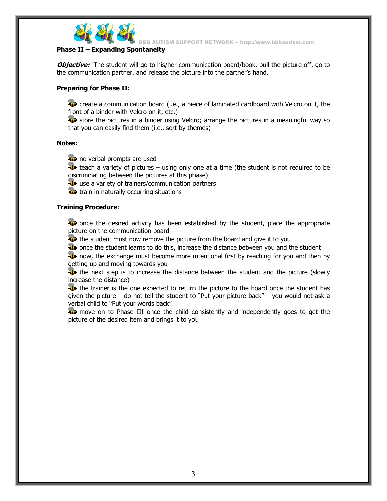

BB AUTISM SUPPORT NETWORK ~ http://www.bbbautism.com

# **Phase II – Expanding Spontaneity**

*Objective:* The student will go to his/her communication board/book, pull the picture off, go to the communication partner, and release the picture into the partner's hand.

## **Preparing for Phase II:**

**EXEC** create a communication board (i.e., a piece of laminated cardboard with Velcro on it, the front of a binder with Velcro on it, etc.)

**Store the pictures in a binder using Velcro; arrange the pictures in a meaningful way so** that you can easily find them (i.e., sort by themes)

## **Notes:**

**n** no verbal prompts are used

 $\ddot{\bullet}$  teach a variety of pictures – using only one at a time (the student is not required to be discriminating between the pictures at this phase)

**use a variety of trainers/communication partners** 

**the train in naturally occurring situations** 

## **Training Procedure**:

**Fi** once the desired activity has been established by the student, place the appropriate picture on the communication board

**the student must now remove the picture from the board and give it to you** 

**W** once the student learns to do this, increase the distance between you and the student

**EXP** now, the exchange must become more intentional first by reaching for you and then by getting up and moving towards you

**the next step is to increase the distance between the student and the picture (slowly** increase the distance)

**the** the trainer is the one expected to return the picture to the board once the student has given the picture – do not tell the student to "Put your picture back" – you would not ask a verbal child to "Put your words back"

**The move on to Phase III once the child consistently and independently goes to get the** picture of the desired item and brings it to you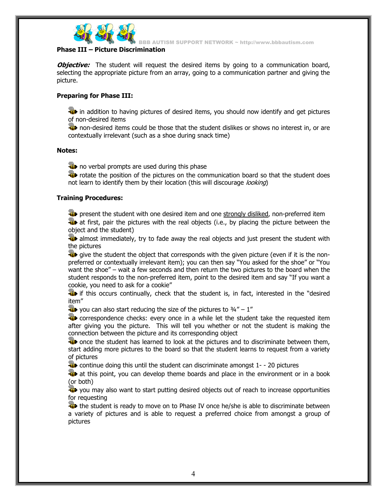

BB AUTISM SUPPORT NETWORK ~ http://www.bbbautism.com

# **Phase III – Picture Discrimination**

*Objective:* The student will request the desired items by going to a communication board, selecting the appropriate picture from an array, going to a communication partner and giving the picture.

# **Preparing for Phase III:**

**in** in addition to having pictures of desired items, you should now identify and get pictures of non-desired items

**12** non-desired items could be those that the student dislikes or shows no interest in, or are contextually irrelevant (such as a shoe during snack time)

## **Notes:**

**ID** no verbal prompts are used during this phase

**Fi** rotate the position of the pictures on the communication board so that the student does not learn to identify them by their location (this will discourage *looking*)

# **Training Procedures:**

**Prip** present the student with one desired item and one strongly disliked, non-preferred item **A** at first, pair the pictures with the real objects (i.e., by placing the picture between the object and the student)

**All** almost immediately, try to fade away the real objects and just present the student with the pictures

 $\ddot{u}$  give the student the object that corresponds with the given picture (even if it is the nonpreferred or contextually irrelevant item); you can then say "You asked for the shoe" or "You want the shoe" – wait a few seconds and then return the two pictures to the board when the student responds to the non-preferred item, point to the desired item and say "If you want a cookie, you need to ask for a cookie"

**is** if this occurs continually, check that the student is, in fact, interested in the "desired item"

 $\ddot{u}$  you can also start reducing the size of the pictures to  $\frac{3}{4}$ " – 1"

**T** correspondence checks: every once in a while let the student take the requested item after giving you the picture. This will tell you whether or not the student is making the connection between the picture and its corresponding object

**The once the student has learned to look at the pictures and to discriminate between them,** start adding more pictures to the board so that the student learns to request from a variety of pictures

**T** continue doing this until the student can discriminate amongst 1--20 pictures

**A** at this point, you can develop theme boards and place in the environment or in a book (or both)

410 you may also want to start putting desired objects out of reach to increase opportunities for requesting

**The student is ready to move on to Phase IV once he/she is able to discriminate between** a variety of pictures and is able to request a preferred choice from amongst a group of pictures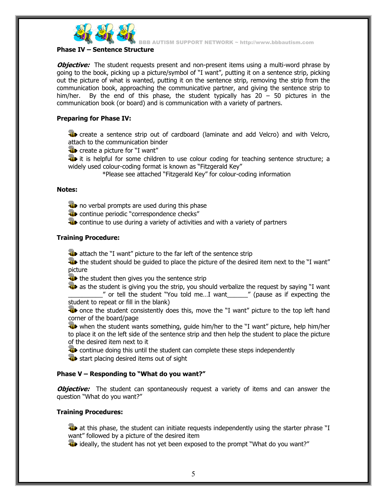

BB AUTISM SUPPORT NETWORK ~ http://www.bbbautism.com

## **Phase IV – Sentence Structure**

*Objective:* The student requests present and non-present items using a multi-word phrase by going to the book, picking up a picture/symbol of "I want", putting it on a sentence strip, picking out the picture of what is wanted, putting it on the sentence strip, removing the strip from the communication book, approaching the communicative partner, and giving the sentence strip to him/her. By the end of this phase, the student typically has 20 – 50 pictures in the communication book (or board) and is communication with a variety of partners.

## **Preparing for Phase IV:**

**C** create a sentence strip out of cardboard (laminate and add Velcro) and with Velcro, attach to the communication binder

**Create a picture for "I want"** 

**it** it is helpful for some children to use colour coding for teaching sentence structure; a widely used colour-coding format is known as "Fitzgerald Key"

\*Please see attached "Fitzgerald Key" for colour-coding information

## **Notes:**

**n** no verbal prompts are used during this phase

**Continue periodic "correspondence checks"** 

**EXECONTER 19 FEE 20 ATT** continue to use during a variety of activities and with a variety of partners

#### **Training Procedure:**

**A** attach the "I want" picture to the far left of the sentence strip

The student should be guided to place the picture of the desired item next to the "I want" picture

the student then gives you the sentence strip

**As** as the student is giving you the strip, you should verbalize the request by saying "I want \_\_\_\_\_\_\_\_\_\_" or tell the student "You told me…I want\_\_\_\_\_\_" (pause as if expecting the

student to repeat or fill in the blank)

**The once the student consistently does this, move the "I want" picture to the top left hand** corner of the board/page

 when the student wants something, guide him/her to the "I want" picture, help him/her to place it on the left side of the sentence strip and then help the student to place the picture of the desired item next to it

**T** continue doing this until the student can complete these steps independently

**start placing desired items out of sight** 

## **Phase V – Responding to "What do you want?"**

**Objective:** The student can spontaneously request a variety of items and can answer the question "What do you want?"

## **Training Procedures:**

**At at this phase, the student can initiate requests independently using the starter phrase "I** want" followed by a picture of the desired item

ideally, the student has not yet been exposed to the prompt "What do you want?"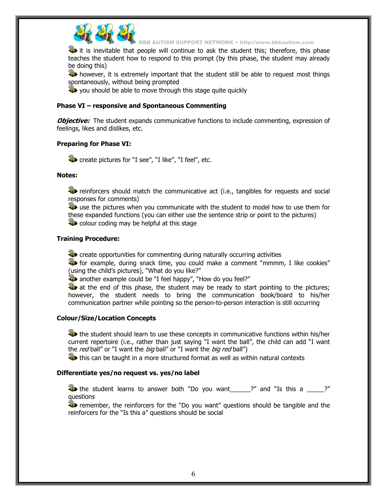

BBB AUTISM SUPPORT NETWORK ~ http://www.bbbautism.com

**it** it is inevitable that people will continue to ask the student this; therefore, this phase teaches the student how to respond to this prompt (by this phase, the student may already be doing this)

**H** however, it is extremely important that the student still be able to request most things spontaneously, without being prompted

**W** you should be able to move through this stage quite quickly

#### **Phase VI – responsive and Spontaneous Commenting**

*Objective:* The student expands communicative functions to include commenting, expression of feelings, likes and dislikes, etc.

## **Preparing for Phase VI:**

**C** create pictures for "I see", "I like", "I feel", etc.

#### **Notes:**

**T** reinforcers should match the communicative act (i.e., tangibles for requests and social responses for comments)

**W** use the pictures when you communicate with the student to model how to use them for these expanded functions (you can either use the sentence strip or point to the pictures) **Colour coding may be helpful at this stage** 

## **Training Procedure:**

**C** create opportunities for commenting during naturally occurring activities

**Example, during snack time, you could make a comment "mmmm, I like cookies"** (using the child's pictures), "What do you like?"

**B** another example could be "I feel happy", "How do you feel?"

**A** at the end of this phase, the student may be ready to start pointing to the pictures; however, the student needs to bring the communication book/board to his/her communication partner while pointing so the person-to-person interaction is still occurring

## **Colour/Size/Location Concepts**

**The student should learn to use these concepts in communicative functions within his/her** current repertoire (i.e., rather than just saying "I want the ball", the child can add "I want the red ball" or "I want the *big* ball" or "I want the *big red* ball")

**the** this can be taught in a more structured format as well as within natural contexts

# **Differentiate yes/no request vs. yes/no label**

**the** student learns to answer both "Do you want \_\_\_\_\_?" and "Is this a \_\_\_\_\_?" questions

**EXP** remember, the reinforcers for the "Do you want" questions should be tangible and the reinforcers for the "Is this a" questions should be social